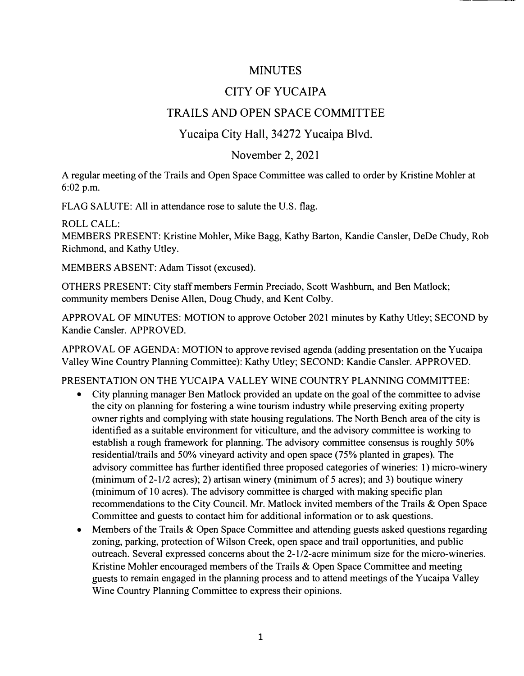### MINUTES

## CITY OF YUCAIPA

# TRAILS AND OPEN SPACE COMMITTEE

### Yucaipa City Hall, 34272 Yucaipa Blvd.

#### November 2, 2021

A regular meeting of the Trails and Open Space Committee was called to order by Kristine Mohler at 6:02 p.m.

FLAG SALUTE: All in attendance rose to salute the U.S. flag.

ROLL CALL:

MEMBERS PRESENT: Kristine Mohler, Mike Bagg, Kathy Barton, Kandie Cansler, DeDe Chudy, Rob Richmond, and Kathy Utley.

MEMBERS ABSENT: Adam Tissot (excused).

OTHERS PRESENT: City staff members Fermin Preciado, Scott Washburn, and Ben Matlock; community members Denise Allen, Doug Chudy, and Kent Colby.

APPROVAL OF MINUTES: MOTION to approve October 2021 minutes by Kathy Utley; SECOND by Kandie Cansler. APPROVED.

APPROVAL OF AGENDA: MOTION to approve revised agenda (adding presentation on the Yucaipa Valley Wine Country Planning Committee): Kathy Utley; SECOND: Kandie Cansler. APPROVED.

#### PRESENTATION ON THE YUCAIPA VALLEY WINE COUNTRY PLANNING COMMITTEE:

- City planning manager Ben Matlock provided an update on the goal of the committee to advise the city on planning for fostering a wine tourism industry while preserving exiting property owner rights and complying with state housing regulations. The North Bench area of the city is identified as a suitable environment for viticulture, and the advisory committee is working to establish a rough framework for planning. The advisory committee consensus is roughly 50% residential/trails and 50% vineyard activity and open space (75% planted in grapes). The advisory committee has further identified three proposed categories of wineries: 1) micro-winery (minimum of  $2-1/2$  acres); 2) artisan winery (minimum of 5 acres); and 3) boutique winery (minimum of 10 acres). The advisory committee is charged with making specific plan recommendations to the City Council. Mr. Matlock invited members of the Trails & Open Space Committee and guests to contact him for additional information or to ask questions.
- Members of the Trails & Open Space Committee and attending guests asked questions regarding zoning, parking, protection of Wilson Creek, open space and trail opportunities, and public outreach. Several expressed concerns about the 2-1/2-acre minimum size for the micro-wineries. Kristine Mohler encouraged members of the Trails & Open Space Committee and meeting guests to remain engaged in the planning process and to attend meetings of the Yucaipa Valley Wine Country Planning Committee to express their opinions.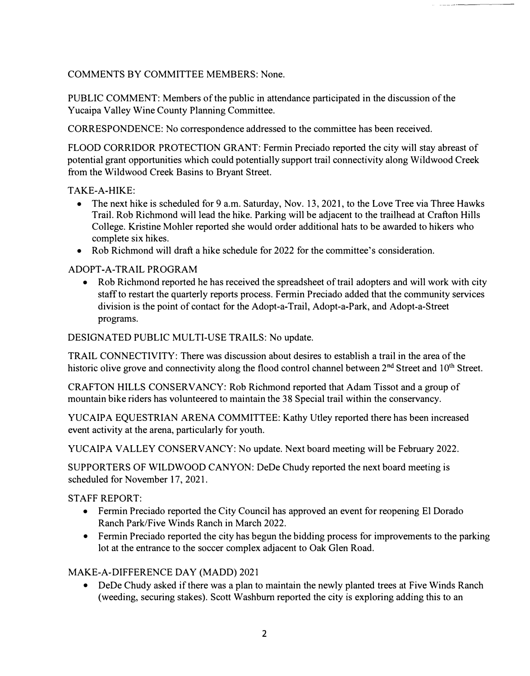COMMENTS BY COMMITTEE MEMBERS: None.

PUBLIC COMMENT: Members of the public in attendance participated in the discussion of the Yucaipa Valley Wine County Planning Committee.

CORRESPONDENCE: No correspondence addressed to the committee has been received.

FLOOD CORRIDOR PROTECTION GRANT: Fermin Preciado reported the city will stay abreast of potential grant opportunities which could potentially support trail connectivity along Wildwood Creek from the Wildwood Creek Basins to Bryant Street.

TAKE-A-HIKE:

- The next hike is scheduled for 9 a.m. Saturday, Nov. 13, 2021, to the Love Tree via Three Hawks Trail. Rob Richmond will lead the hike. Parking will be adjacent to the trailhead at Crafton Hills College. Kristine Mohler reported she would order additional hats to be awarded to hikers who complete six hikes.
- Rob Richmond will draft a hike schedule for 2022 for the committee's consideration.

ADOPT-A-TRAIL PROGRAM

• Rob Richmond reported he has received the spreadsheet of trail adopters and will work with city staff to restart the quarterly reports process. Fermin Preciado added that the community services division is the point of contact for the Adopt-a-Trail, Adopt-a-Park, and Adopt-a-Street programs.

DESIGNATED PUBLIC MULTI-USE TRAILS: No update.

TRAIL CONNECTIVITY: There was discussion about desires to establish a trail in the area of the historic olive grove and connectivity along the flood control channel between 2<sup>nd</sup> Street and 10<sup>th</sup> Street.

CRAFTON HILLS CONSERVANCY: Rob Richmond reported that Adam Tissot and a group of mountain bike riders has volunteered to maintain the 38 Special trail within the conservancy.

YUCAIPA EQUESTRIAN ARENA COMMITTEE: Kathy Utley reported there has been increased event activity at the arena, particularly for youth.

YUCAIPA VALLEY CONSERVANCY: No update. Next board meeting will be February 2022.

SUPPORTERS OF WILDWOOD CANYON: DeDe Chudy reported the next board meeting is scheduled for November 17, 2021.

STAFF REPORT:

- Fermin Preciado reported the City Council has approved an event for reopening El Dorado Ranch Park/Five Winds Ranch in March 2022.
- Fermin Preciado reported the city has begun the bidding process for improvements to the parking lot at the entrance to the soccer complex adjacent to Oak Glen Road.

MAKE-A-DIFFERENCE DAY (MADD) 2021

DeDe Chudy asked if there was a plan to maintain the newly planted trees at Five Winds Ranch (weeding, securing stakes). Scott Washburn reported the city is exploring adding this to an